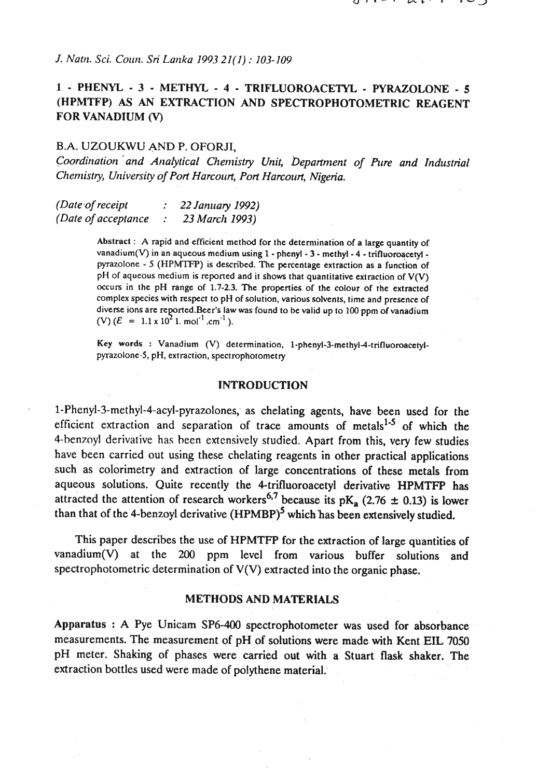*J. Natn. Sci. Coun. Sri Larlka 1993 21(1)* : *103-109* 

# **1** - **PHENYL** - **3** - **METHYL** - **4** - **TRIFLUOROACETYL** - **PYRAZOLONE** - **5 (HPMTFP) AS AN EXTRACTION AND SPECTROPHOTOMETRIC REAGENT FOR VANADIUM** (V)

## B.A. UZOUKWU AND P. OFORJI,

*Coordination and Analytical Chemistry Unit, Department of Pure and Industrial Chemistry, University of Port Harcourt, Port Harcourt, Nigeria.* 

*(Date,of receipt* : *22 January 1992) (Date of acceptance* 

> Abstract : **A** rapid and efficient method for the detennination of a large quantity of vanadium(V) in an aqueous medium using  $1$  - phenyl -  $3$  - methyl -  $4$  - trifluoroacetyl pyrazolone - **5** (HPMTFP) is described. The percentage extraction as a function of pH of aqueous medium is reported and it shows that quantitative extraction of **V(V) occurs** in the pH range of **1.7-2.3.** The properties of the colour of the extracted complex species with respect to pH of solution, various solvents, time and presence of diverse ions are reported.Beer's law was found to be valid up to 100 ppm of vanadium (V)  $(E = 1.1 \times 10^2 \text{ J} \cdot \text{mol}^{-1} \cdot \text{cm}^{-1})$ .

> Key words : Vanadium (V) determination, 1-phenyl-3-methyl-4-trifluoroacetylpyrazolone-5, pH, extraction, spectrophotometry

### **INTRODUCTION**

**1-Phenyl-3-methyl-4-acyl-pyrazolones;** as chelating agents, have been used for the efficient extraction and separation of trace amounts of metals $1.5$  of which the 4-benznyl derivative has been extensively studied. Apart from this, very few studies have been carried out using these chelating reagents in other practical applications such as colorimetry and extraction of large concentrations of these metals from aqueous solutions. Quite recently the 4-trifluoroacetyl derivative HPMTFP has attracted the attention of research workers<sup>6,7</sup> because its  $pK_a$  (2.76  $\pm$  0.13) is lower than that of the 4-benzoyl derivative  $(HPMBP)^5$  which has been extensively studied.

This paper describes the use of HPMTFP for the extraction of large quantities of vanadium $(V)$  at the 200 ppm level from various buffer solutions and spectrophotometric determination of V(V) extracted into the organic phase.

#### **METHODS AND MATERIALS**

Apparatus : **A** Pye Unicam SP6-400 spectrophotometer was used for absorbance measurements. The measurement of pH of solutions were made with Kent EIL 7050 pH meter. Shaking of phases were carried out with a Stuart flask shaker. The extraction bottles used were made of polythene material: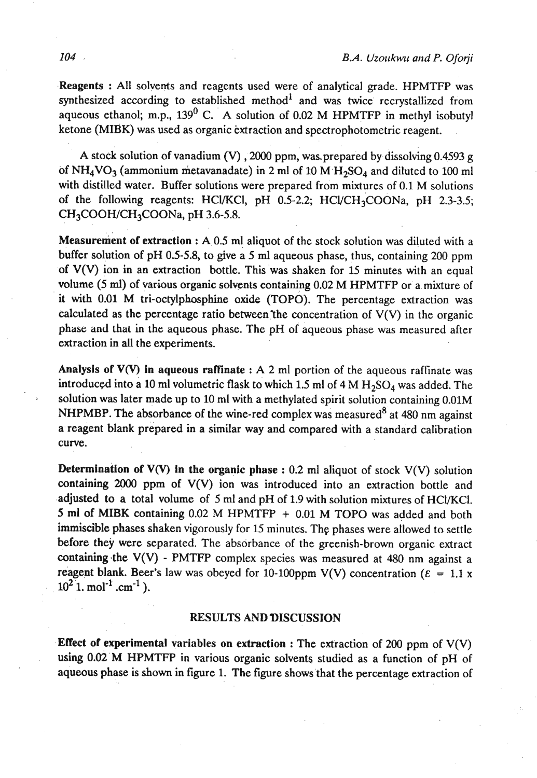Reagents : All solvents and reagents used were of analytical grade. HPMTFP was synthesized according to established method $1$  and was twice recrystallized from aqueous ethanol; m.p.,  $139^0$  C. A solution of 0.02 M HPMTFP in methyl isobutyl ketone (MIBK) was used as organic extraction and spectrophotometric reagent.

A stock solution of vanadium (V), 2000 ppm, was prepared by dissolving  $0.4593$  g of  $NH<sub>4</sub>VO<sub>3</sub>$  (ammonium metavanadate) in 2 ml of 10 M  $H<sub>2</sub>SO<sub>4</sub>$  and diluted to 100 ml with distilled water. Buffer solutions were prepared from mixtures of 0.1 M solutions of the following reagents: HCl/KCl, pH 0.5-2.2; HCl/CH<sub>3</sub>COONa, pH 2.3-3.5;  $CH<sub>3</sub>COOH/CH<sub>3</sub>COONa$ , pH 3.6-5.8.

Measurement of extraction : A 0.5 ml aliquot of the stock solution was diluted with a buffer solution of pH 0.5-5.8, to give a 5 ml aqueous phase, thus, containing 200 ppm of V(V) ion in an extraction bottle. This was shaken for 15 minutes with an equal volume (5 **ml)** of various organic solvents containing 0.02 M HPMTFT or a mixture of it with 0.01 M tri-octylphosphine oxide (TOPO). The percentage extraction was calculated as the percentage ratio between the concentration of  $V(V)$  in the organic phase and that in the aqueous phase. The pH of aqueous phase was measured after extraction in all the experiments.

Analysis of V(V) in aqueous raffinate : A 2 ml portion of the aqueous raffinate was introduced into a 10 ml volumetric flask to which 1.5 ml of 4 M  $H_2SO_4$  was added. The solution was later made up to 10 ml with a methylated spirit solution containing 0.01M NHPMBP. The absorbance of the wine-red complex was measured<sup>8</sup> at 480 nm against a reagent blank prepared in a similar way and compared with a standard calibration curve.

Determination of  $V(V)$  in the organic phase : 0.2 ml aliquot of stock  $V(V)$  solution containing **2000** ppm of V(V) ion was introduced into an extraction bottle and .adjusted to a total volume of 5 ml and pH of 1.9 with solution mixtures of HCUKCI. 5 ml of MIBK containing 0.02 M HPMTFP + 0.01 M TOPO was added and both immiscible phases shaken vigorously for 15 minutes. The phases were allowed to settle before they were separated. The absorbance of the greenish-brown organic extract containing the  $V(V)$  - PMTFP complex species was measured at 480 nm against a reagent blank. Beer's law was obeyed for 10-100ppm V(V) concentration ( $\varepsilon = 1.1$  x  $10^2$  <sup>I</sup>. mol<sup>-1</sup> .cm<sup>-1</sup>).

### **RESULTS AND DISCUSSION**

**Effect of experimental variables on extraction : The extraction of 200 ppm of**  $V(V)$ using 0.02 M HPMTFP in various organic solvents studied as a function of pH of aqueous phase is shown in figure 1. The figure shows that the percentage extraction of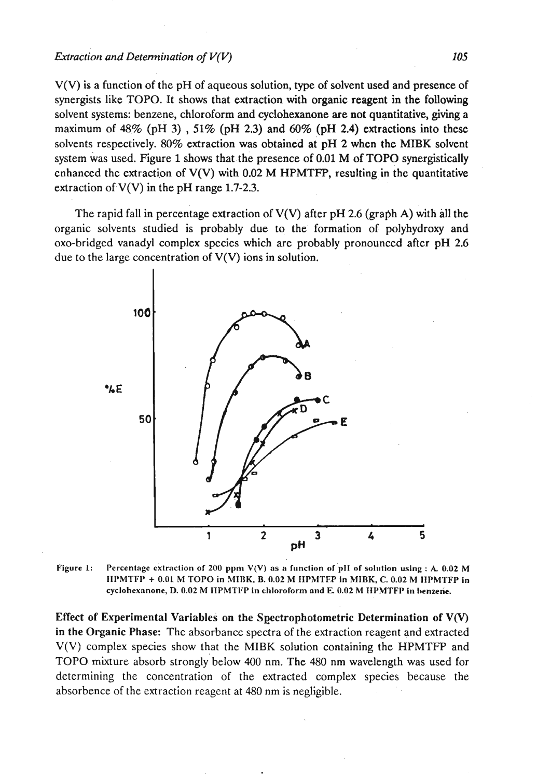$V(V)$  is a function of the pH of aqueous solution, type of solvent used and presence of synergists like TOPO. It shows that extraction with organic reagent in the following solvent systems: benzene, chloroform and cyclohexanone are not quantitative, giving a maximum of  $48\%$  (pH 3),  $51\%$  (pH 2.3) and  $60\%$  (pH 2.4) extractions into these solvents respectively. 80% extraction was obtained at pH 2 when the MIBK solvent system was used. Figure 1 shows that the presence of 0.01 M of TOPO synergistically enhanced the extraction of  $V(V)$  with 0.02 M HPMTFP, resulting in the quantitative extraction of  $V(V)$  in the pH range 1.7-2.3.

The rapid fall in percentage extraction of  $V(V)$  after pH 2.6 (graph A) with all the organic solvents studied is probably due to the formation of polyhydroxy and 0x0-bridged vanadyl complex species which are probably pronounced after pH 2.6 due to the large concentration of  $V(V)$  ions in solution.



**Figure 1:** Percentage extraction of 200 ppm  $V(V)$  as a function of pII of solution using :  $A$  0.02 M  $IIPMTFP + 0.01 M TOPO$  in MIBK, B. 0.02 M IIPMTFP in MIBK, C. 0.02 M IIPMTFP in **cyclohexnnone, D. 0.02** M IIPMTIFP **in chlorolorm and E 0.02 M IIPMTFP in benzene.** 

Effect of Experimental Variables on the Seectrophotometric Determination of **V(V)**  in the Organic Phase: The absorbance spectra of the extraction reagent and extracted V(V) complex species show that the MIBK solution containing the HPMTFP and TOPO mixture absorb strongly'below 400 nm. The 480 nm wavelength was used for determining the concentration of the extracted complex species because the absorbence of the extraction reagent at 480 nm is negligible.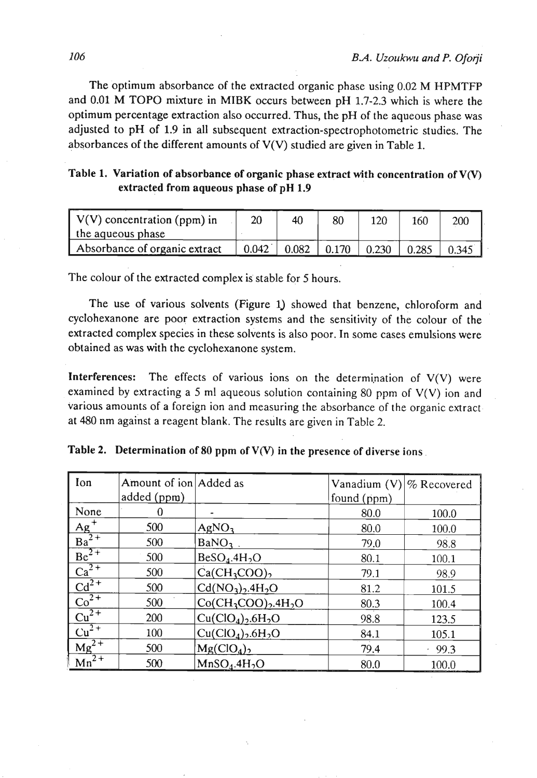The optimum absorbance of the extracted organic phase using 0.02 M HPMTFP and 0.01 M TOP0 mixture in MIBK occurs between pH 1.7-2.3 which is where the optimum percentage extraction also occurred. Thus, the pH of the aqueous phase was adjusted to pH of 1.9 in all subsequent extraction-spectrophotometric studies. The absorbances of the different amounts of V(V) studied are given in Table 1.

| Table 1. Variation of absorbance of organic phase extract with concentration of $V(V)$ |
|----------------------------------------------------------------------------------------|
| extracted from aqueous phase of pH 1.9                                                 |

| $\mid V(V)$ concentration (ppm) in | 20    |       | 80    | 120   | 160   | 200   |
|------------------------------------|-------|-------|-------|-------|-------|-------|
| I the aqueous phase                |       |       |       |       |       |       |
| Absorbance of organic extract      | 0.042 | 0.082 | 0.170 | 0.230 | 0.285 | 0.345 |

The colour of the extracted complex is stable for 5 hours.

The use of various solvents (Figure **1)** showed that benzene, chloroform and cyclohexanone are poor extraction systems and the sensitivity of the colour of the extracted complex species in these solvents is also poor. In some cases emulsions were obtained as was with the cyclohexanone system.

**Interferences:** The effects of various ions on the determination of  $V(V)$  were examined by extracting a 5 ml aqueous solution containing 80 ppm of **V(V)** ion and various amounts of a foreign ion and measuring the absorbance of the organic extract at 480 nm against a reagent blank. The results are given in Table 2.

| Ion                                                 | Amount of ion Added as |                                            | Vanadium (V)   % Recovered |       |
|-----------------------------------------------------|------------------------|--------------------------------------------|----------------------------|-------|
|                                                     | added (ppm)            |                                            | found (ppm)                |       |
| None                                                | 0                      |                                            | 80.0                       | 100.0 |
| $\frac{\text{Ag}^+}{\text{Ba}^2+}$                  | 500                    | AgNO <sub>3</sub>                          | 80.0                       | 100.0 |
|                                                     | 500                    | BaNO <sub>3</sub>                          | 79.0                       | 98.8  |
| $Be^{2+}$                                           | 500                    | BeSO <sub>4</sub> .4H <sub>2</sub> O       | 80.1                       | 100.1 |
| $Ca^{2+}$                                           | 500                    | $Ca(CH_3COO)$ ,                            | 79.1                       | 98.9  |
| $Cd^{2+}$                                           | 500                    | $Cd(NO3)$ <sub>2</sub> ,4H <sub>2</sub> O  | 81.2                       | 101.5 |
| $\overline{{\rm Co}^{2+}}$                          | 500                    | $Co(CH_3COO)_2.4H_2O$                      | 80.3                       | 100.4 |
| $\frac{\overline{\text{Cu}^{2+}} }{\text{Cu}^{2+}}$ | 200                    | Cu(CIO <sub>4</sub> ),.6H <sub>2</sub> O   | 98.8                       | 123.5 |
|                                                     | 100                    | $Cu(ClO4)$ <sub>2</sub> .6H <sub>2</sub> O | 84.1                       | 105.1 |
| $\frac{1}{\text{Mg}^{2+}}$                          | 500                    | Mg(CIO <sub>4</sub> )                      | 79.4                       | 99.3  |
| $Mn^{2+}$                                           | 500                    | MnSO <sub>4</sub> .4H <sub>2</sub> O       | 80.0                       | 100.0 |

**Table 2. Determination of 80 ppm of V(V) in the presence of diverse ions**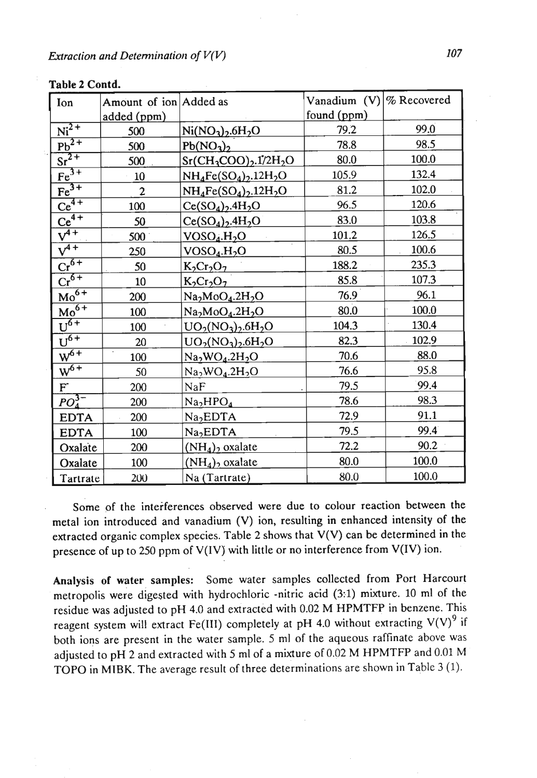| Ion                         | Amount of ion Added as |                                     | Vanadium $(V) \%$ Recovered |       |
|-----------------------------|------------------------|-------------------------------------|-----------------------------|-------|
|                             | added (ppm)            |                                     | found (ppm)                 |       |
| $Ni2+$                      | 500                    | $Ni(NO3)2.6H2O$                     | 79.2                        | 99.0  |
| $\overline{\text{Pb}^{2+}}$ | 500                    | $Pb(NO_3)_2$                        | 78.8                        | 98.5  |
| $\overline{\text{Sr}^{2+}}$ | 500                    | $Sr(CH_3COO)_2.1/2H_2O$             | 80.0                        | 100.0 |
| $Fe3+$                      | 10                     | $NH_4Fe(SO_4)_2.12H_2O$             | 105.9                       | 132.4 |
| $Fe3+$                      | $\boldsymbol{2}$       | $NH_4Fe(SO_4)_2.12H_2O$             | 81.2                        | 102.0 |
| $\overline{\text{Ce}^{4+}}$ | 100                    | $Ce(SO4)2.4H2O$                     | 96.5                        | 120.6 |
| $Ce^{4+}$                   | 50                     | $Ce(SO4)2.4H2O$                     | 83.0                        | 103.8 |
| $\overline{v^{4+}}$         | 500                    | VOSO <sub>4</sub> .H <sub>2</sub> O | 101.2                       | 126.5 |
| $\sqrt{4+}$                 | 250                    | VOSO <sub>4</sub> .H <sub>2</sub> O | 80.5                        | 100.6 |
| $Cr^{6+}$                   | 50                     | $K_2Cr_2O_7$                        | 188.2                       | 235.3 |
| $Cr^{6+}$                   | 10                     | $K_2Cr_2O_7$                        | 85.8                        | 107.3 |
| $Mo^{6+}$                   | 200                    | $Na2MoO4.2H2O$                      | 76.9                        | 96.1  |
| $\overline{Mo^{6+}}$        | 100                    | $Na2MoO4.2H2O$                      | 80.0                        | 100.0 |
| $U^{\overline{6+}}$         | 100                    | $UO_2(NO_3)$ , 6H <sub>2</sub> O    | 104.3                       | 130.4 |
| $U^{6+}$                    | 20                     | $UO_2(NO_3)_{2}.6H_2O$              | 82.3                        | 102.9 |
| $W^{6+}$                    | $\cdot$<br>100         | $Na2WO4.2H2O$                       | 70.6                        | 88.0  |
| $W^{6+}$                    | 50                     | $Na2WO4.2H2O$                       | 76.6                        | 95.8  |
| $\mathbf{F}^{\text{-}}$     | 200                    | NaF                                 | 79.5                        | 99.4  |
| $PO_{4}^{3-}$               | 200                    | Na <sub>2</sub> HPO <sub>4</sub>    | 78.6                        | 98.3  |
| <b>EDTA</b>                 | 200                    | Na <sub>2</sub> EDTA                | 72.9                        | 91.1  |
| <b>EDTA</b>                 | 100                    | Na <sub>2</sub> EDTA                | 79.5                        | 99.4  |
| Oxalate                     | 200                    | $(NH_4)_2$ oxalate                  | 72.2                        | 90.2  |
| Oxalate                     | 100                    | $(NH_4)$ oxalate                    | 80.0                        | 100.0 |
| Tartrate                    | 200                    | Na (Tartrate)                       | 80.0                        | 100.0 |

### **Table 2 Contd.**

Some of the interferences observed were due to colour reaction between the metal ion introduced and vanadium (V) ion, resulting in enhanced intensity of the extracted organic complex species. Table 2 shows that V(V) can be determined in the presence of up to 250 ppm of V(IV) with little or no interference from V(IV) ion.

Analysis of water samples: Some water samples collected from Port Harcourt metropolis were digested with hydrochloric -nitric acid (31) mixture. 10 ml of the residue was adjusted to pH 4.0 and extracted with 0.02 M HPMTFP in benzene. This reagent system will extract Fe(III) completely at pH 4.0 without extracting  $V(V)^9$  if both ions are present in the water sample. 5 ml of the aqueous raffinate above was adjusted to pH 2 and extracted with 5 ml of a mixture of 0.02 M HPMTFP and 0.01 M TOP0 in MIBK. The average result of three determinations are shown in Table 3 (1).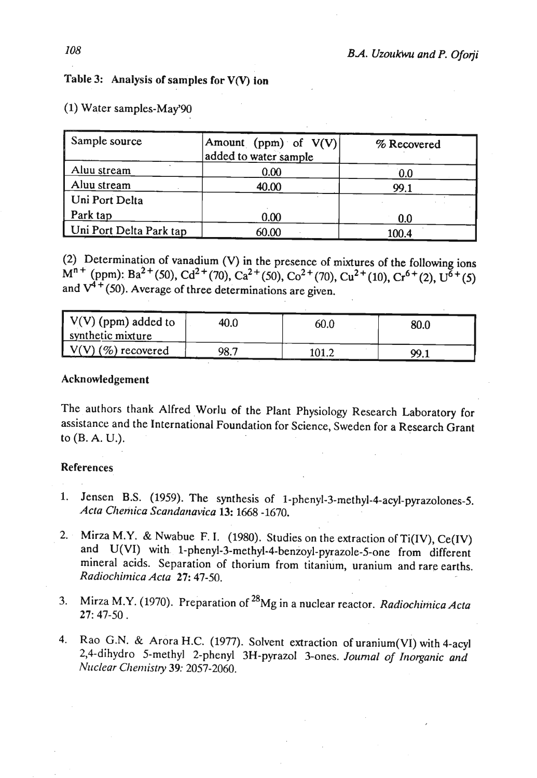# Table 3: Analysis of samples for **V(V)** ion

| Sample source           | Amount (ppm) of $V(V)$<br>added to water sample | % Recovered |
|-------------------------|-------------------------------------------------|-------------|
| Aluu stream             | 0.00                                            | 0.0         |
| Aluu stream             | 40.00                                           | 99.1        |
| Uni Port Delta          |                                                 |             |
| Park tap                | 0.00                                            | 0.0         |
| Uni Port Delta Park tap | 60.00                                           | 100.4       |

(1) Water samples-May'90

(2) Determination of vanadium (V) in the presence of mixtures of the following ions  $M^{n+}$  (ppm): Ba<sup>2+</sup>(50), Cd<sup>2+</sup>(70), Ca<sup>2+</sup>(50), Co<sup>2+</sup>(70), Cu<sup>2+</sup>(10), Cr<sup>6+</sup>(2), U<sup>6</sup><sup>+</sup>(5) and  $V^{4+}$ (50). Average of three determinations are given.

| $\sqrt{V(V)}$ (ppm) added to<br>synthetic mixture | 40.0 | 60.0  | 80.0 |
|---------------------------------------------------|------|-------|------|
| $\sqrt{(V)(\%)}$ recovered                        | 98.7 | 101.2 | 99.1 |

## Acknowledgement

The authors thank Alfred Worlu of the Plant Physiology Research Laboratory for assistance and the International Foundation for Science, Sweden for a Research Grant to (B. A. U.).

## References

- 1. Jensen B.S. (1959). The synthesis of 1-phenyl-3-methyl-4-acyl-pyrazolones-5. *Acta Clteritica Scartda~tavica* 13: 1668 -1670.
- 2. Mirza **M.Y.** & Nwabue F. I. (1980). Studies on the extraction of Ti(IV), Ce(IV) and U(VI) with 1-phenyl-3-methyl-4-benzoyl-pyrazole-5-one from different mineral acids. Separation of thorium from titanium, uranium and rare earths. *Radiochimica Acra* 27: 47-50.
- **3.** Mirza **M.Y.** (1970). Preparation of **28~g** in a nuclear reactor. *Radiocltiriiica Acta*  27: 47-50 .
- 4. Rao G.N. & Arora H.C. (1977). Solvent extraction of uranium(VI) with 4-acyl 2,4-dihydro 5-methyl 2-phenyl 3H-pyrazol 3-ones. *Journal of Inorganic and N~iclear Qtenzistry 39:* 2057-2060.